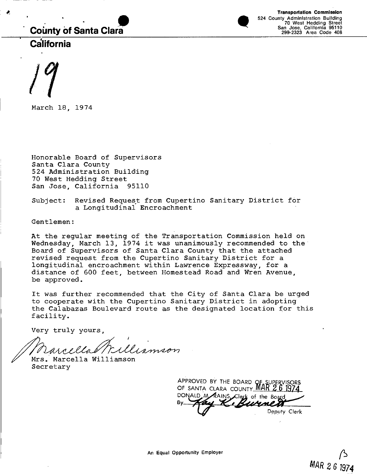# **County of Santa Clara**

**Example 15 Transportation Commission**<br>
Fransportation Commission<br>
Factor 17 West Hedding Street<br>
299-2323 Area Code 40<br>
299-2323 Area Code 40 524 County Administration Building 70 West Hedding Street San Jose, California 95110 299-2323 Area Code 408

**California**

. <sup>.</sup>

·

*17*

March 18, 1974

Honorable Board of Supervisors Santa Clara County 524 Administration Building 70 West Hedding Street San Jose, California 95110

Subject: Revised Request from Cupertino Sanitary District for a Longitudinal Encroachment

Gentlemen:

At the regular meeting of the Transportation Commission held on Wednesday, March 13, 1974 it was unanimously recommended to the Board of Supervisors of Santa Clara County that the attached revised request from the Cupertino Sanitary District for a longitudinal encroachment within Lawrence Expressway, for a distance of 600 feet, between Homestead Road and Wren Avenue, be approved.

It was further recommended that the City of Santa Clara be urged to cooperate with the Cupertino Sanitary District in adopting the Calabazas Boulevard route as the designated location for this facility.

Very truly yours,

arcellal Williamson

Mrs. Marcella Williamson Secretary

APPROVED BY THE BOARD OF SUPERVISORS OF SANTA CLARA COUNTY MAR 26 1974 DONALD M RAINS Clerk of the Board Deputy Clerk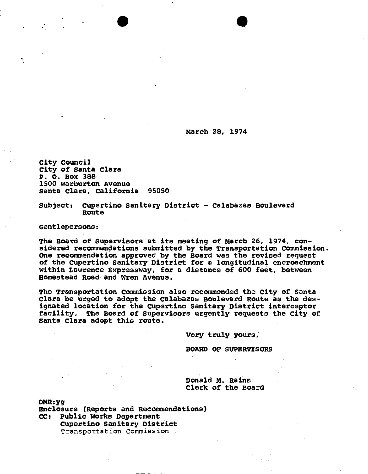March 28, 1974

 $\bullet$ 

City Council City of Santa clara P. O. BOx 388 1500 Warburton Avenue Santa Clara, california 95050

Subject: Cupertino Sanitary District - Calabazas Boulevard Route

Gentlepersons:

The Board of Supervisors at its meeting of March 26, 1974. considered recommendations submitted by the Transportation Commission. One recommendation approved by the Board was the revised request of the Cupertino Sanitary District for a longitudinal encroachment within Lawrence Expressway, for a distance of 600 feet, between Homestead Road· and Wren Avenue.

The Transportation Commission also recommended the City of Santa clara be urged to adopt the calabazas Boulevard Route as the designated location for the Cupertino Sanitary District interceptor facility. The Board of Supervisors urgently requests the City of santa Clara adopt this route.

Very truly yours,

BOARD OF SUPERVISORS

Donald M. Rains Clerk of the Board

DMR:yg

Enclosure (Reports and Recommendations) CCI Public works Department Cupertino Sanitary District Transportation Commission .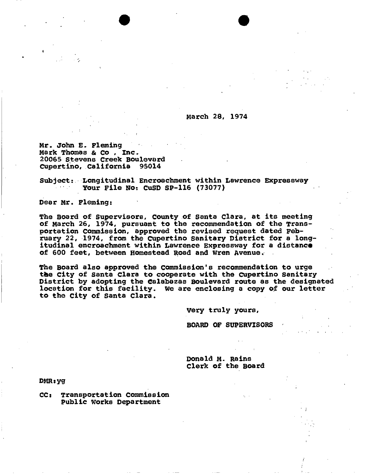March 28, 1974

 $\bullet$ 

Mr. John E. Fleming Mark Thomas & co , Inc. 20065 stevens Creek Boulevard Cupertino, California

Subject: Longitudinal Encroachment within Lawrence Expressway Your File No: CuSD SP-116 (73077)

Dear Mr. Fleming:

"*»:*

The Board of Supervisors, County of Santa Clara, at its meeting of March 26, 1974, pursuant to the recommendation of the Transportation Commission, approved the revised request dated February 22, 1974, from the Cupertino Sanitary District for a longitudinal encroachment within Lawrence Expressway for a distance of 600 feet, between Homestead Road and Wren Avenue •.

The Board also approved the commission's recommendation to urge the City of Santa Clara to cooperate with the Cupertino Sanitary District by adopting the ealabazas Boulevard route as the designated location for this facility. We are enclosing a copy of our letter to the City of santa Clara.

Very truly yours,

BOARD OF SUPERVISORS

, ' .

, ;

Donald M. Rains Clerk of the Board

DMR: yg

eCI Transportation commission public Works Department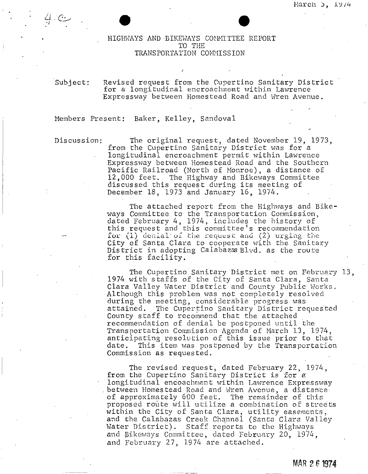# $\bullet$ <br>
HIGHWAYS AND BIKEWAYS CONMITTEE REPORT TO THE TRANSPORTATION COMMISSION

Subject: Revised request from the Cupertino Sanitary District for a longitudinal encroachment within Lawrence Expressway between Homestead Road and Wren Avenue.

#### Members Present: Baker, Kelley, Sandoval

*Ii -rr.* 1...+ . '-\_\_\_' *. -l*

> Discussion: The original request, dated November 19, 1973, from the Cupertino Sanitary District was for a longitudinal encroachment permit within Lawrence Expressway between Homestead Road and the Southern Pacific Railroad (North of Monroe), a distance of 12,000 feet. The Highway and Bikeways Committee discussed this request during its meeting of December 18, 1973 and January 16, 1974.

> > The attached report from the Highways and Bikeways Committee to the Transportation Commission, dated February 4, 1974, includes the history of this request and this committee's recommendatio for (1) denial of the request and (2) urging the City of Santa Clara to cooperate with the Sanitary District in adopting Calabazes Blvd. as the route for this facility.

The Cupertino Sanitary District met on February 13, 1974 with staffs of the City of Santa Clara, Santa. Clara Valley Water District and County Public Works. Although this problem was not completely resolved during the meeting, considerable progress was attained. The Cupertino Sanitary District requested County staff to recommend that the attached. recommendation of denial be postponed until the Transportation Commission Agenda of Narch 13, *197/+,* anticipating resolution of this issue prior to that date. This item was postponed by the Transportation Commission as requested.

The revised request, dated February 22, 1974, from the Cupertino Sanitary District is for a longitudinal encoachment within Lawrence Expressway between Homestead Road and Wren Avenue, a distance of approximately 600 feet. The remainder of this proposed route will utilize a combination of streets within the City of Santa Clara, utility easements, and the Calabazas Creek Channel (Santa Clara Valley Water District). Staff reports to the Highways and Bikeways Committee, dated February 20, 1974, and February 27, 1974 are attached.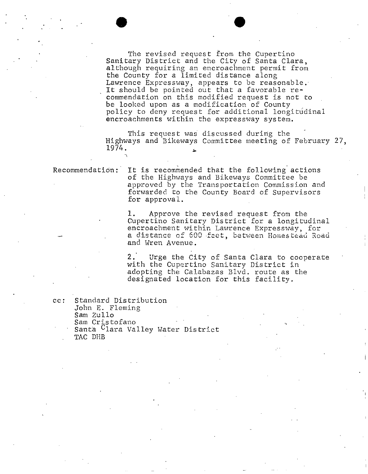The revised request *from* the Cupertino Sanitary District and the City of Santa Clara, although requiring an encroachment permit from the County for a limited distance along Lawrence Expressway, appears to be reasonable. It should be pointed out that a favorable recommendation on this modified request is not to be looked upon as a modification of County policy to deny request for additional longitudinal encroachments within tbe expressway system.

 $\bullet$ 

This request was discussed during the Highways and Bikeways Committee meeting of February 27, 1974.

Recommendation: It is recommended that the following actions of the Highways and Bikeways Committee be approved by the Transportation Commission and forwarded to the County Board of Supervisors for approval.

> 1. Approve the revised request from the Cupertino Sanitary District for a longitudinal encroachment within Lawrence Expressway, for **a distance of 600** .fce t, be twe en Home <sup>s</sup> tead Ro ad and Wren Avenue.

> 2. Urge the City of Santa Clara to cooperate with the Cupertino Sanitary District in adopting the Calabazas Blvd. route as the designated location for this facility.

cc: Standard Distribution John E. Fleming Sam Zullo Sam Cristofano Santa Clara Valley Water District TAC DHB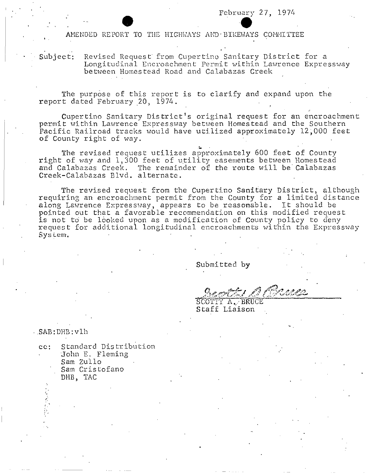February 27, 1974<br>AMENDED REPORT TO THE HIGHWAYS AND BIKEWAYS COMMITTEE

, , Subject: Revised Request from Cupertino Sanitary District for a Longitudinal Encroachment Permit within Lawrence Expressway between Homestead Road and Calabazas Creek

The purpose of this report is to clarify and expand upon the report dated February 20, 1974.

Cupertino Sanitary District's original request for an encroachment permit within Lawrence Expressway between Homestead and the Southern Pacific Railroad tracks would have utilized approximately 12,000 feet of County right of way.

The revised request utilizes approximately 600 feet of County right of way and 1,300 feet of utilizes approximately oud feet of County.<br>Tight of way and 1,300 feet of utility easements between Homestead and Calabazas Creek. The remainder of the route will be'Calabazas Creek-Calabazas Blvd. alternate.

The revised request from the Cupertino Sanitary District, although requiring an encroachment permit from the County for a limited distance along Lawrence Expressway, appears to be reasonable. It should be pointed out that a favorable recommendation on this modified request is not to be looked upon as a modification of County policy to deny request for additional longitudinal encroachments within the Expressway  $Sys$  i.em.

Submitted **by**

" ,

SCOTTY A. BRUCE Staff Liaison

,SAB:DHB:vlh

-,

| Standard Distribution |
|-----------------------|
| John E. Fleming       |
| Sam Zullo             |
| Sam Cristofano        |
| DHB, TAC              |
|                       |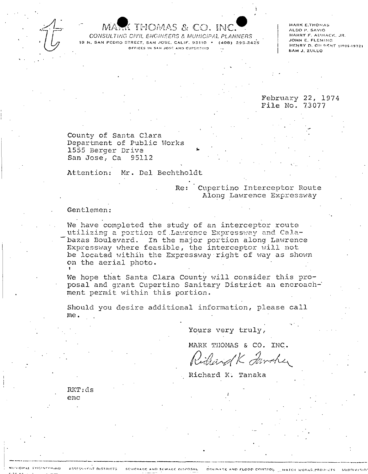

## MARK THOMAS & CO. INC.

CONSULTING CIVIL ENGINEERS & MUNICIPAL PLANNERS 18 N. SAN PEDRO STREET, SAN JOSE, CALIF. 95110 . (408) 295-2425 OFFICES IN SAN JOSÉ AND CUPERTING

MARK E.THOMAS ALDO P. SAVIO HARRY F. AUMACK, JR. JOHN E. FLEMING HENRY D. GILBERT (1926-1972) SAM J. ZULLO

February 22, 1974 File No. 73077

County of Santa Clara Department of Public Works 1555 Berger Drive San Jose, Ca 95112

Attention: Mr. Del Bechtholdt

## Re: Cupertino Interceptor Route Along Lawrence Expressway

#### Gentlemen:

We have completed the study of an interceptor route utilizing a portion of Lawrence Expressway and Calabazas Boulevard. In the major portion along Lawrence Expressway where feasible, the interceptor will not be located within the Expressway right of way as shown on the aerial photo.

We hope that Santa Clara County will consider this proposal and grant Cupertino Sanitary District an encroachment permit within this portion.

Should you desire additional information, please call me.

Yours very truly,

MARK THOMAS & CO. INC.

Richard K Jawsher

Richard K. Tanaka

RKT:ds enc

ASSESSMENT DISTRICTS

CIPAL FRIGHTERING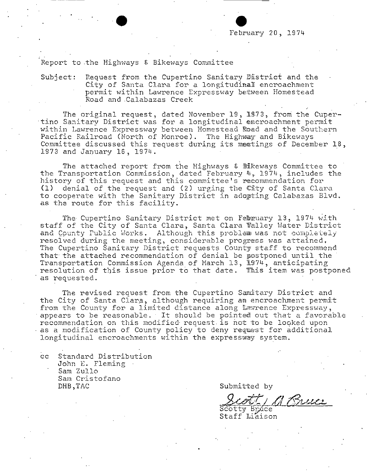Report to the Highways & Bikeways Committee

#### Request from the Cupertino Sanitary District and the  $Subject:$ City of Santa Clara for a longitudinal encroachment permit within Lawrence Expressway between Homestead Road and Calabazas Creek

The original request, dated November 19, 1973, from the Cupertino Sanitary District was for a longitudinal encroachment permit within Lawrence Expressway between Homestead Road and the Southern Pacific Railroad (North of Monroe). The Highway and Bikeways Committee discussed this request during its meetings of December 18, 1973 and January 16, 1974.

The attached report from the Highways & Bikeways Committee to the Transportation Commission, dated February 4, 1974, includes the history of this request and this committee's recommendation for (1) denial of the request and (2) urging the City of Santa Clara to cooperate with the Sanitary District in adopting Calabazas Blvd. as the route for this facility.

The Cupertino Sanitary District met on February 13, 1974 with staff of the City of Santa Clara, Santa Clara Walley Water District and County Public Works. Although this problem was not completely resolved during the meeting, considerable progress was attained. The Cupertino Sanitary District requests County staff to recommend that the attached recommendation of denial be postponed until the Transportation Commission Agenda of March 13, 1974, anticipating resolution of this issue prior to that date. This item was postponed as requested.

The revised request from the Cupertino Samitary District and the City of Santa Clara, although requiring am encroachment permit from the County for a limited distance along Lawrence Expressway, appears to be reasonable. It should be pointed out that a favorable recommendation on this modified request is not to be looked upon as a modification of County policy to deny request for additional longitudinal encroachments within the expressway system.

 $cc$ Standard Distribution John E. Fleming Sam Zullo Sam Cristofano DHB, TAC

Submitted by

1 Bruce

Scotty Bruce Staff Liaison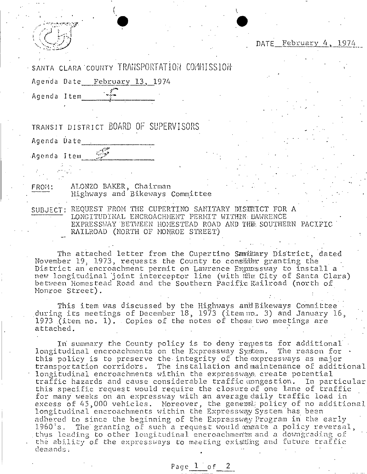DATE February 4, 1974

SANTA CLARA COUNTY TRANSPORTATION COMMISSION

Agenda Date\_\_ February 13, 1974

Agenda Item

TRANSIT DISTRICT BOARD OF SUPERVISORS

Agenda Date

Agenda Item Sales

FROM:

ALONZO BAKER, Chairman Highways and Bikeways Committee

SUBJECT: REQUEST FROM THE CUPERTINO SANITARY DISTRICT FOR A LONGITUDINAL ENCROACHMENT PERMIT WITHIN LAWRENCE EXPRESSWAY BETWEEN HOMESTEAD ROAD AND THE SOUTHERN PACIFIC RAILROAD (NORTH OF MONROE STREET)

The attached letter from the Cupertino Samillary District, dated November 19, 1973, requests the County to consider granting the District an encroachment permit on Lawrence Expressway to install a new longitudinal joint interceptor line (with the City of Santa Clara) between Homestead Road and the Southern Pacific Railroad (north of Monroe Street).

This item was discussed by the Highways and Bikeways Committee during its meetings of December 18, 1973 (item no. 3) and January 16, 1973 (item no. 1). Copies of the notes of those two meetings are attached.

In summary the County policy is to deny requests for additional longitudinal encroachments on the Expressway System. The reason for this policy is to preserve the integrity of the expressways as major transportation corridors. The installation and maintenance of additional longitudinal encroachments within the expressways create potential traffic hazards and cause considerable traffic congestion. In particular this specific request would require the closure of one lane of traffic for many weeks on an expressway with an average daily traffic load in excess of 45,000 vehicles. Moreover, the general policy of no additional longitudinal encroachments within the Expressway System has been adhered to since the beginning of the Expressway Program in the early The granting of such a request would cheate a policy reversal,  $1960's.$ thus leading to other longitudinal encroachments and a downgrading of the ability of the expressways to meeting existing and future traffic demands.

Page 1 of 2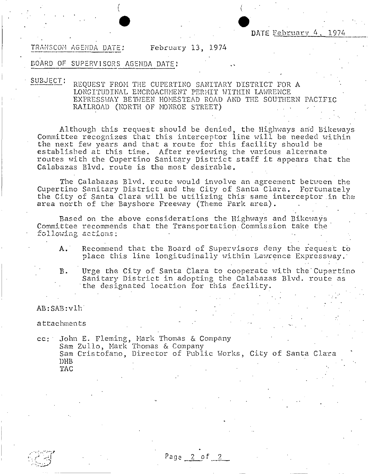TRANSCOM AGENDA DATE: February 13, 1974

 $\bullet$ 

#### BOARD OF SUPERVISORS AGENDA DATE:

(

SUBJECT:

REQUEST FROM THE CUPERTINO SANITARY DISTRICT FOR A LONGITUDINAL ENCROACHMENT PERMIT WITHIN LAWRENCE EXPRESSWAY BEIWEEN HOMESTEAD ROAD AND THE SOUTHERN PACIFIC RAILROAD (NORTH OF NONROE STREET)

Although this request should be denied, the Highways and Bikeways Committee recognizes that this interceptor line will be needed within the next few years and that a route for this facility should be established at this time. After reviewing the various alternate routes with the Cupertino Sanitary District staff it appears that the Calabazas Blvd. route is the most desirable.

The Calabazas Blvd. route would involve an agreement between the Cupertino Sanitary District and the City of Santa Clara. Fortunately the City of Santa Clara will be utilizing this same interceptor in the area north of the Bayshore Freeway (Theme Park area).

Based on the above considerations the Highways and Bikeways Committee recommends that the Transportation Commission take the  $f$ ollowing actions:

A. Recommend that the Board of Supervisors deny the request to place this line longitudinally within Lawrence Expressway.

**B.** Urge the City of Santa Clara to cooperate with the'Cupertino Sanitary District in adopting the Calabazas Blvd. route as the designated location for this facility.

## AB:SAB:vlh

attachments

cc;· John E. Fleming, Nark Thomas & Company Sam Zullo, Hark Thomas & Company Sam Cristofano, Director of Public Works, City of Santa Clara DHB TAC

Page 2 of 2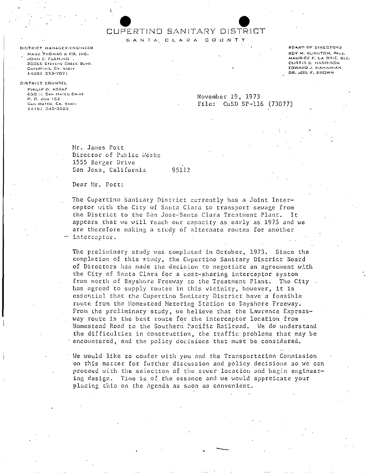# CUPERTIND SANITARY DISTRICT

SANTA CLARA COUNTY

DISTRICT MANAGER-ENGINEER MARK THOMAS & CO. INC. JOHN E. FLEMING . 20065 STEVENS CREEK BLVO. CUPERTING, CA. 95014 (408) 253-7071

#### DISTRICT COUNSEL

PHILIP D. ASSAE G3D IL SAN MATED DRIVE P. O. Box 152 SAN MATED, CA. 94401 04151 342-3523

November 19, 1973 File: CuSD SP-116 (73077)

Mr. James Pott Director of Public Works 1555 Berger Drive San Jose, California

95112

Dear Mr. Port:

The Cupertino Sanicary District currently has a Joint Interceptor with the City of Santa Clara to transport sewage from the District to the San Jose-Santa Clara Treatment Plant. It appears that we will reach our capacity as early as 1975 and we are therefore making a study of alternate routes for another interceptor.

The preliminary study was completed in October, 1973. Since the completion of this study, the Cupertino Sanitary District Board of Directors has made the decision to negotiate an agreement with the City of Santa Clara for a cost-sharing interceptor system from north of Bayshore Freeway to the Treatment Plant. The City . has agreed to supply routes in this vicinity, however, it is essential that the Cupertino Sanitary District have a feasible route from the Homestead Metering Station to Bayshore Freeway. From the preliminary study, we believe that the Lawrence Expressway route is the best route for the interceptor location from. Homestead Road to the Southern Pacific Railroad. We do understand the difficulties in construction, the traffic problems that may be encountered, and the policy decisions that must be considered.

We would like to confer with you and the Transportation Commission on this matter for further discussion and policy decisions so we can proceed with the selection of the sewer location and begin engineering design. Time is of the essence and we would appreicate your placing this on the Agenda as soon as convenient.

BOARD OF DIRECTORS ROY M. RUSHTON, PACS. MAURICE F. LA BRIE, SEC. CURTIS 8. HARRISON EDWARD J. HAHAMIAN DR. JOS. F. BROWN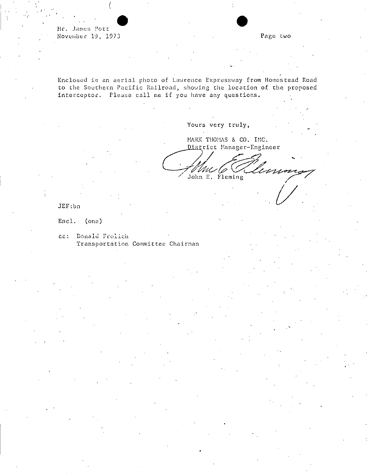Mr. James Pott November 19, 1973

Page two

Enclosed is an aerial photo of Lawrence Expressway from Homestead Road to the Southern Pacific Railroad, showing the location of the proposed interceptor. Please call me if you have any questions.

Yours very truly,

MARK THOMAS & CO. INC. District Manager-Engineer

Unme John E. Fleming

 $JEF:bn$ 

Encl.  $(one)$ 

ce: Donald Prolich Transportation Committee Chairman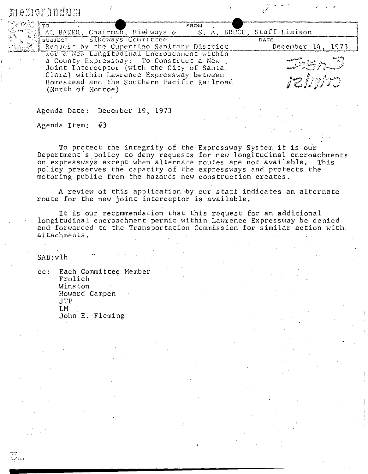| memorandum        |                            |                                                                                                                                                                                                                                  |             |  |      |                      |
|-------------------|----------------------------|----------------------------------------------------------------------------------------------------------------------------------------------------------------------------------------------------------------------------------|-------------|--|------|----------------------|
| TO.               |                            | AL BAKER, Chairman, Highways & S. A. BRUCE, Staff Liaison                                                                                                                                                                        | <b>FROM</b> |  |      |                      |
|                   | sualECT BIKeways Committee | Request by the Cupertino Sanitary District                                                                                                                                                                                       |             |  | DATE | December 14<br>1.973 |
| (North of Monroe) |                            | Thor a New Longitudinal Encroachment within<br>a County Expressway: To Construct a New<br>Joint Interceptor (with the City of Santa.<br>Clara) within Lawrence Expressway between<br>Homestead and the Southern Pacific Railroad |             |  |      | relights             |

Agenda Date: December 19, 1973

Agenda Item: #3

To protect the integrity of the Expressway System it is ou'r Department's policy to deny requests for new longitudinal encroachments on expressways except when alternate routes are not available. This policy preserves the capacity of the expressways and protects the motoring public from the hazards new construction creates.

A review of this application by our staff indicates an alternate route for the new joint interceptor is available.

It is our recommendation that this request for an additional longitudinal encroachment permit within Lawrence Expressway be denied and forwarded to the Transportation Commission for similar action with **attacbments.**

SAB:vlh

cc: Each Committee Member Frolich Winston Howard Campen JTP LM John E. Fleming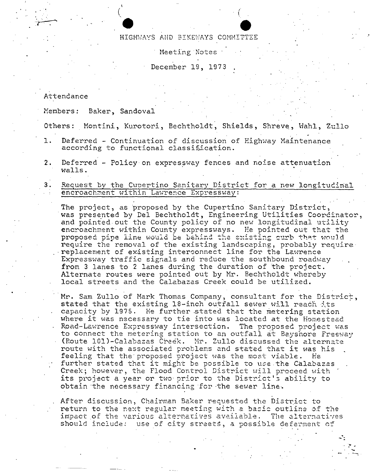#### HIGHWAYS AND BIKEWAYS COMMITTEE

Meeting Notes

December 19, 1973

### Attendance

Members: Baker, Sandoval

Others: Montini, Kurotori, Bechtholdt, Shields, Shreve, Wahl, Zullo

- Deferred Continuation of discussion of Highway Maintenance  $1.$ according to functional classification.
- $2.$ Deferred - Policy on expressway fences and noise attenuation walls.
	- Request by the Cupertino Sanitary District for a new longitudinal encroachment within Lawrence Expressway:

The project, as proposed by the Cupertino Sanitary District. was presented by Del Bechtholdt, Engineering Utilities Coordinator, and pointed out the County policy of no new longitudinal utility encroachment within County expressways. He pointed out that the proposed pipe line would be behind the existing ourb that would require the removal of the existing landscaping, probably require replacement of existing interconnect line for the Lawrence Expressway traffic signals and reduce the southbound roadway from 3 lanes to 2 lanes during the duration of the project. Alternate routes were pointed out by Mr. Bechtholdt whereby local streets and the Calabazas Creek could be utilized.

Mr. Sam Zullo of Mark Thomas Company, consultant for the District, stated that the existing 18-inch outfall sewer will reach its capacity by 1975. He further stated that the metering station where it was necessary to tie into was located at the Homestead . Road-Lawrence Expressway intersection. The proposed project was to connect the metering station to an outfall at Bayshore Freeway (Route 101)-Calabazas Creek. Mr. Zullo discussed the alternate route with the associated problems and stated that it was his feeling that the proposed project was the most viable. He further stated that it might be possible to use the Calabazas Creek; however, the Flood Control District will proceed with its project a year or two prior to the District's ability to obtain the necessary financing for the sewer line.

After discussion, Chairman Baker requested the District to return to the next regular meeting with a basic outline of the impact of the various alternatives available. The alternatives should include: use of city streets, a possible deferment of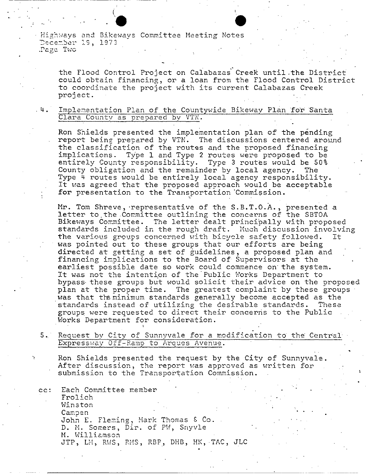Highways and Bikeways Committee Meeting Notes December 19, 1973 Page Two

the Flood Control Project on Calabazas Creek until the District could obtain financing, or a loan from the Flood Control District to coordinate the project with its current Calabazas Creek project.

 $4.1$ Implementation Plan of the Countywide Bikeway Plan for Santa Clara County as prepared by VTN.

Ron Shields presented the implementation plan of the pending report being prepared by VTN. The discussions centered around the classification of the routes and the proposed financing implications. Type 1 and Type 2 routes were proposed to be entirely County responsibility. Type 3 routes would be 50% County obligation and the remainder by local agency. The Type 4 routes would be entirely local agency responsibility. It was agreed that the proposed approach would be acceptable for presentation to the Transportation Commission.

Mr. Tom Shreve, representative of the S.B.T.O.A., presented a letter to the Committee outlining the concerns of the SBTOA Bikeways Committee. The letter dealt principally with proposed standards included in the rough draft. Much discussion involving the various groups concerned with bicycle safety followed. It was pointed out to these groups that our efforts are being directed at getting a set of guidelines, a proposed plan and financing implications to the Board of Supervisors at the earliest possible date so work could commence on the system. It was not the intention of the Public Works Department to bypass these groups but would solicit their advice on the proposed plan at the proper time. The greatest complaint by these groups was that the minimum standards generally become accepted as the standards instead of utilizing the desirable standards. These groups were requested to direct their concerns to the Public Works Department for consideration.

5. Request by City of Sunnyvale for a modification to the Central Expressway Off-Ramp to Arques Avenue.

Ron Shields presented the request by the City of Sunnyvale. After discussion, the report was approved as written for submission to the Transportation Commission.

Each Committee member  $cc:$ Frolich Winston Campen John E. Fleming, Mark Thomas & Co. D. M. Somers, Dir. of PW, Snyvle M. Williamson JTP, LH, RWS, RMS, RBP, DHB, HK, TAC, JLC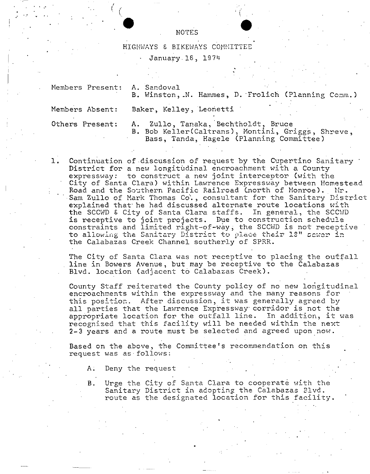#### NOTES

HIGHWAYS & BIKEWAYS COMMITTEE  $\bullet$  $\bullet$ 

January 16, 1974

Hembers Present: A. Sandoval

*J*  $\left( \begin{array}{c} \epsilon \end{array} \right)$ 

B. Winston, N. Hammes, D. Frolich (Planning Comm.)

Members Absent:

Baker, Kelley, Leonetti

Others Present:

A. Zullo, Tanaka, Bechtholdt, Bruce B. Bob Keller(Caltrans), Montini, Griggs, Shreve, Bass, Tanda, Hagele (Planning Committee)

1. Continuation of discussion of request by the Cupertino Sanitary District for a new longitudinal encroachment with a County expressway: to construct a new joint interceptor (with the City of Santa Clara) within Lawrence Expressway between Homestead Road and the Southern Pacific Railroad (north of Monroe). Mr. Sam Zullo of Mark Thomas Co., consultant for the Sanitary District explained that he had discussed alternate route locations with<br>the SCCWD & City of Santa Clara staffs. In general, the SCCWD the SCCWD & City of Santa Clara staffs. is receptive to joint projects. Due to construction schedule constraints and limited right-of-w~y; the SCCWD is not receptive **to** allowing the Sanitary District to place their 18" sower in the Calabazas Creek Channel southerly of SPRR.

The City of Santa Clara was not receptive to placing the outfall line in Bowers Avenue, but may be receptive to the Calabazas Blvd. location (adjacent to Calabazas Creek).

County Staff reiterated the County policy of no new longitudinal encroachments within the expressway and the many reasons for this position. After discussion, it was generally agreed by all parties that the Lawrence Expressway corridor is not the appropriate location for the outfall line. In addition, it was recognized that this facility will be needed within the next 2-3 years and a route must be selected and agreed upon now.

Based on the above, the Committee's recommendation on this request was as follows:

A; Deny the request

B. Urge the City of Santa Clara to cooperate with the Sanitary District in adopting the Calabazas Blvd. route as the designated location for this facility.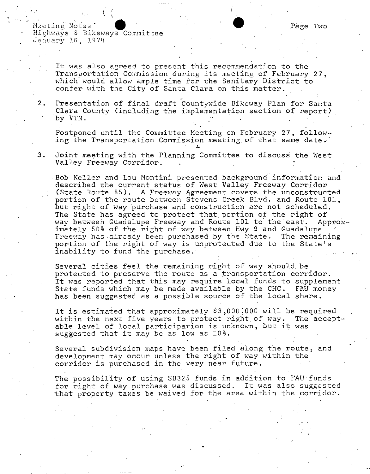Meeting Notes Highways & Bikeways Committee January 16, 1974

> It was also agreed to present this recommendation to the Transportation Commission during its meeting of February 27, which would allow ample time for the Sanitary District to confer with the City of Santa Clara on this matter.

**2.** Presentation of final draft Countywide Bikeway Plan for Santa Clara County (including the implementation section of report) by VTN.

Postponed until the Committee Meeting on February 27, following the Transportation Commission meeting of that same date.

,,3. Joint meeting with the Planning Committee to discuss the West Valley Freeway Corridor.

,Bob Keller and Lou Montini presented background'information and described the current status of West Valley Freeway Corridor (State Route 85). A Freeway Agreement covers the unconstructed portion of the route between Stevens Creek Blvd. and Route 101, but right of way 'purchase and construction are not scheduled. The State has agreed to protect that portion of the right of<br>way between Guadalupe Freeway and Route 101 to the east. Approxway between Guadalupe Freeway and Route 101 to the east. imately 50% of the right of way between Hwy 9 and Guadalupe Freeway has already been purchased by the State. The remaining portion of the right of way is unprotected due to the State's inability to fund the purchase.'

Several cities feel the remaining right of way should be protected to preserve the route as a transportation corridor. It was reported that this may require local funds to supplement State funds which may be made available by the CHC. FAU money has been suggested as a possible source of the local share.

It is estimated that approximately \$3,000;000 will be required within the next five years to protect right of way. The acceptable level of local participation is unknown, but it was suggested that it may be as low as 10%.

Several subdivision maps have been filed along the route, and development may occur unless the right of way within the corridor is purchased in the very near future.

The possibility of using SB325 funds in addition to FAU funds for right of way purchase was discussed. It was also suggested that property taxes be waived for the area within the corridor.